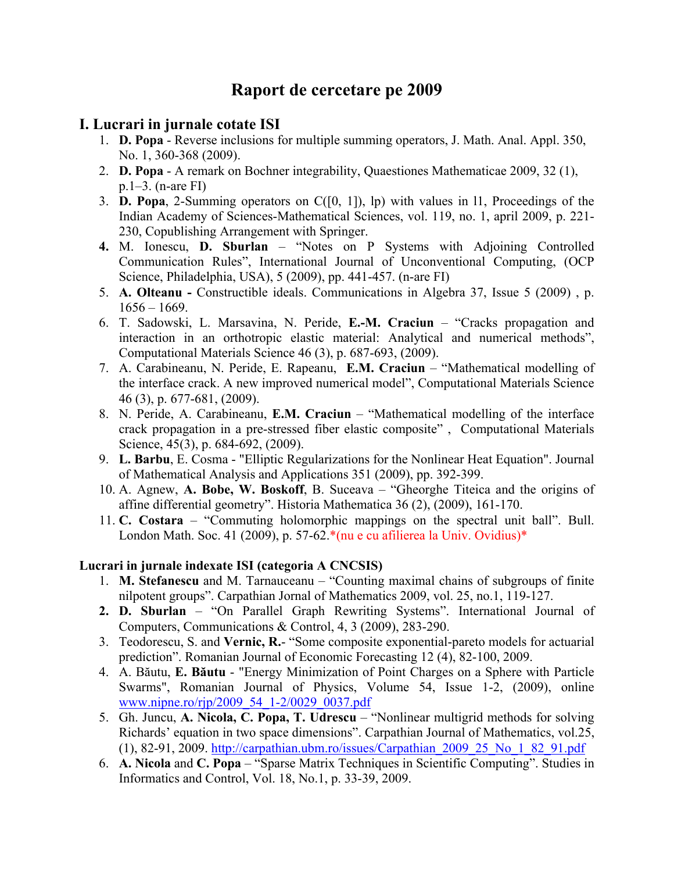# **Raport de cercetare pe 2009**

## **I. Lucrari in jurnale cotate ISI**

- 1. **D. Popa** Reverse inclusions for multiple summing operators, J. Math. Anal. Appl. 350, No. 1, 360-368 (2009).
- 2. **D. Popa** A remark on Bochner integrability, Quaestiones Mathematicae 2009, 32 (1), p.1–3. (n-are FI)
- 3. **D. Popa**, 2-Summing operators on C([0, 1]), lp) with values in l1, Proceedings of the Indian Academy of Sciences-Mathematical Sciences, vol. 119, no. 1, april 2009, p. 221- 230, Copublishing Arrangement with Springer.
- **4.** M. Ionescu, **D. Sburlan** "Notes on P Systems with Adjoining Controlled Communication Rules", International Journal of Unconventional Computing, (OCP Science, Philadelphia, USA), 5 (2009), pp. 441-457. (n-are FI)
- 5. **A. Olteanu** Constructible ideals. Communications in Algebra 37, Issue 5 (2009) , p.  $1656 - 1669$ .
- 6. T. Sadowski, L. Marsavina, N. Peride, **E.-M. Craciun** "Cracks propagation and interaction in an orthotropic elastic material: Analytical and numerical methods", Computational Materials Science 46 (3), p. 687-693, (2009).
- 7. A. Carabineanu, N. Peride, E. Rapeanu, **E.M. Craciun** "Mathematical modelling of the interface crack. A new improved numerical model", Computational Materials Science 46 (3), p. 677-681, (2009).
- 8. N. Peride, A. Carabineanu, **E.M. Craciun** "Mathematical modelling of the interface crack propagation in a pre-stressed fiber elastic composite" , Computational Materials Science, 45(3), p. 684-692, (2009).
- 9. **L. Barbu**, E. Cosma "Elliptic Regularizations for the Nonlinear Heat Equation". Journal of Mathematical Analysis and Applications 351 (2009), pp. 392-399.
- 10. A. Agnew, **A. Bobe, W. Boskoff**, B. Suceava "Gheorghe Titeica and the origins of affine differential geometry". Historia Mathematica 36 (2), (2009), 161-170.
- 11. **C. Costara** "Commuting holomorphic mappings on the spectral unit ball". Bull. London Math. Soc. 41 (2009), p. 57-62.\*(nu e cu afilierea la Univ. Ovidius)\*

## **Lucrari in jurnale indexate ISI (categoria A CNCSIS)**

- 1. **M. Stefanescu** and M. Tarnauceanu "Counting maximal chains of subgroups of finite nilpotent groups". Carpathian Jornal of Mathematics 2009, vol. 25, no.1, 119-127.
- **2. D. Sburlan** "On Parallel Graph Rewriting Systems". International Journal of Computers, Communications & Control, 4, 3 (2009), 283-290.
- 3. Teodorescu, S. and **Vernic, R.** "Some composite exponential-pareto models for actuarial prediction". Romanian Journal of Economic Forecasting 12 (4), 82-100, 2009.
- 4. A. Băutu, **E. Băutu** "Energy Minimization of Point Charges on a Sphere with Particle Swarms", Romanian Journal of Physics, Volume 54, Issue 1-2, (2009), online [www.nipne.ro/rjp/2009\\_54\\_1-2/0029\\_0037.pdf](http://www.nipne.ro/rjp/2009_54_1-2/0029_0037.pdf)
- 5. Gh. Juncu, **A. Nicola, C. Popa, T. Udrescu** "Nonlinear multigrid methods for solving Richards' equation in two space dimensions". Carpathian Journal of Mathematics, vol.25, (1), 82-91, 2009. [http://carpathian.ubm.ro/issues/Carpathian\\_2009\\_25\\_No\\_1\\_82\\_91.pdf](http://carpathian.ubm.ro/issues/Carpathian_2009_25_No_1_82_91.pdf)
- 6. **A. Nicola** and **C. Popa** "Sparse Matrix Techniques in Scientific Computing". Studies in Informatics and Control, Vol. 18, No.1, p. 33-39, 2009.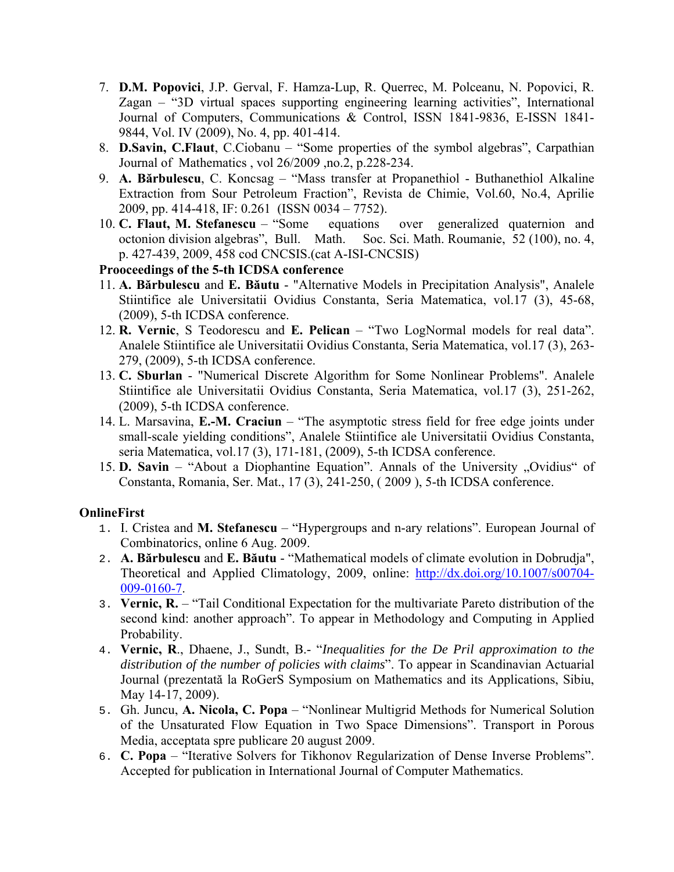- 7. **D.M. Popovici**, J.P. Gerval, F. Hamza-Lup, R. Querrec, M. Polceanu, N. Popovici, R. Zagan – "3D virtual spaces supporting engineering learning activities", International Journal of Computers, Communications & Control, ISSN 1841-9836, E-ISSN 1841- 9844, Vol. IV (2009), No. 4, pp. 401-414.
- 8. **D.Savin, C.Flaut**, C.Ciobanu "Some properties of the symbol algebras", Carpathian Journal of Mathematics , vol 26/2009 ,no.2, p.228-234.
- 9. **A. Bărbulescu**, C. Koncsag "Mass transfer at Propanethiol Buthanethiol Alkaline Extraction from Sour Petroleum Fraction", Revista de Chimie, Vol.60, No.4, Aprilie 2009, pp. 414-418, IF: 0.261 (ISSN 0034 – 7752).
- 10. **C. Flaut, M. Stefanescu** "Some equations over generalized quaternion and octonion division algebras", Bull. Math. Soc. Sci. Math. Roumanie, 52 (100), no. 4, p. 427-439, 2009, 458 cod CNCSIS.(cat A-ISI-CNCSIS)

**Prooceedings of the 5-th ICDSA conference** 

- 11. **A. Bărbulescu** and **E. Băutu** "Alternative Models in Precipitation Analysis", Analele Stiintifice ale Universitatii Ovidius Constanta, Seria Matematica, vol.17 (3), 45-68, (2009), 5-th ICDSA conference.
- 12. **R. Vernic**, S Teodorescu and **E. Pelican** "Two LogNormal models for real data". Analele Stiintifice ale Universitatii Ovidius Constanta, Seria Matematica, vol.17 (3), 263- 279, (2009), 5-th ICDSA conference.
- 13. **C. Sburlan** "Numerical Discrete Algorithm for Some Nonlinear Problems". Analele Stiintifice ale Universitatii Ovidius Constanta, Seria Matematica, vol.17 (3), 251-262, (2009), 5-th ICDSA conference.
- 14. L. Marsavina, **E.-M. Craciun** "The asymptotic stress field for free edge joints under small-scale yielding conditions", Analele Stiintifice ale Universitatii Ovidius Constanta, seria Matematica, vol.17 (3), 171-181, (2009), 5-th ICDSA conference.
- 15. **D. Savin** "About a Diophantine Equation". Annals of the University "Ovidius" of Constanta, Romania, Ser. Mat., 17 (3), 241-250, ( 2009 ), 5-th ICDSA conference.

#### **OnlineFirst**

- 1. I. Cristea and **M. Stefanescu** "Hypergroups and n-ary relations". European Journal of Combinatorics, online 6 Aug. 2009.
- 2. **A. Bărbulescu** and **E. Băutu** "Mathematical models of climate evolution in Dobrudja", Theoretical and Applied Climatology, 2009, online: [http://dx.doi.org/10.1007/s00704-](http://dx.doi.org/10.1007/s00704-009-0160-7) [009-0160-7.](http://dx.doi.org/10.1007/s00704-009-0160-7)
- 3. **Vernic, R.** "Tail Conditional Expectation for the multivariate Pareto distribution of the second kind: another approach". To appear in Methodology and Computing in Applied Probability.
- 4. **Vernic, R**., Dhaene, J., Sundt, B.- "*Inequalities for the De Pril approximation to the distribution of the number of policies with claims*". To appear in Scandinavian Actuarial Journal (prezentată la RoGerS Symposium on Mathematics and its Applications, Sibiu, May 14-17, 2009).
- 5. Gh. Juncu, **A. Nicola, C. Popa** "Nonlinear Multigrid Methods for Numerical Solution of the Unsaturated Flow Equation in Two Space Dimensions". Transport in Porous Media, acceptata spre publicare 20 august 2009.
- 6. **C. Popa** "Iterative Solvers for Tikhonov Regularization of Dense Inverse Problems". Accepted for publication in International Journal of Computer Mathematics.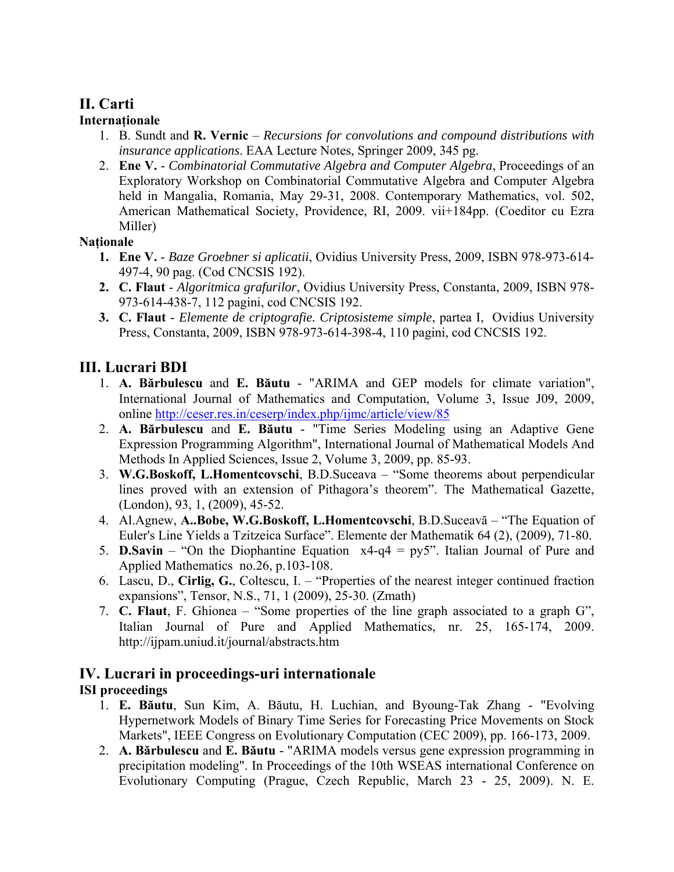## **II. Carti**

## **Internaţionale**

- 1. B. Sundt and **R. Vernic** *Recursions for convolutions and compound distributions with insurance applications*. EAA Lecture Notes, Springer 2009, 345 pg.
- 2. **Ene V.** *Combinatorial Commutative Algebra and Computer Algebra*, Proceedings of an Exploratory Workshop on Combinatorial Commutative Algebra and Computer Algebra held in Mangalia, Romania, May 29-31, 2008. Contemporary Mathematics, vol. 502, American Mathematical Society, Providence, RI, 2009. vii+184pp. (Coeditor cu Ezra Miller)

## **Naţionale**

- **1. Ene V.** *Baze Groebner si aplicatii*, Ovidius University Press, 2009, ISBN 978-973-614- 497-4, 90 pag. (Cod CNCSIS 192).
- **2. C. Flaut** *Algoritmica grafurilor*, Ovidius University Press, Constanta, 2009, ISBN 978- 973-614-438-7, 112 pagini, cod CNCSIS 192.
- **3. C. Flaut** *Elemente de criptografie. Criptosisteme simple*, partea I, Ovidius University Press, Constanta, 2009, ISBN 978-973-614-398-4, 110 pagini, cod CNCSIS 192.

## **III. Lucrari BDI**

- 1. **A. Bărbulescu** and **E. Băutu** "ARIMA and GEP models for climate variation", International Journal of Mathematics and Computation, Volume 3, Issue J09, 2009, online<http://ceser.res.in/ceserp/index.php/ijmc/article/view/85>
- 2. **A. Bărbulescu** and **E. Băutu** "Time Series Modeling using an Adaptive Gene Expression Programming Algorithm", International Journal of Mathematical Models And Methods In Applied Sciences, Issue 2, Volume 3, 2009, pp. 85-93.
- 3. **W.G.Boskoff, L.Homentcovschi**, B.D.Suceava "Some theorems about perpendicular lines proved with an extension of Pithagora's theorem". The Mathematical Gazette, (London), 93, 1, (2009), 45-52.
- 4. Al.Agnew, **A..Bobe, W.G.Boskoff, L.Homentcovschi**, B.D.Suceavă "The Equation of Euler's Line Yields a Tzitzeica Surface". Elemente der Mathematik 64 (2), (2009), 71-80.
- 5. **D.Savin** "On the Diophantine Equation x4-q4 = py5". Italian Journal of Pure and Applied Mathematics no.26, p.103-108.
- 6. Lascu, D., **Cirlig, G.**, Coltescu, I. "Properties of the nearest integer continued fraction expansions", Tensor, N.S., 71, 1 (2009), 25-30. (Zmath)
- 7. **C. Flaut**, F. Ghionea "Some properties of the line graph associated to a graph G", Italian Journal of Pure and Applied Mathematics, nr. 25, 165-174, 2009. http://ijpam.uniud.it/journal/abstracts.htm

#### **IV. Lucrari in proceedings-uri internationale ISI proceedings**

- 1. **E. Băutu**, Sun Kim, A. Băutu, H. Luchian, and Byoung-Tak Zhang "Evolving Hypernetwork Models of Binary Time Series for Forecasting Price Movements on Stock Markets", IEEE Congress on Evolutionary Computation (CEC 2009), pp. 166-173, 2009.
- 2. **A. Bărbulescu** and **E. Băutu** "ARIMA models versus gene expression programming in precipitation modeling". In Proceedings of the 10th WSEAS international Conference on Evolutionary Computing (Prague, Czech Republic, March 23 - 25, 2009). N. E.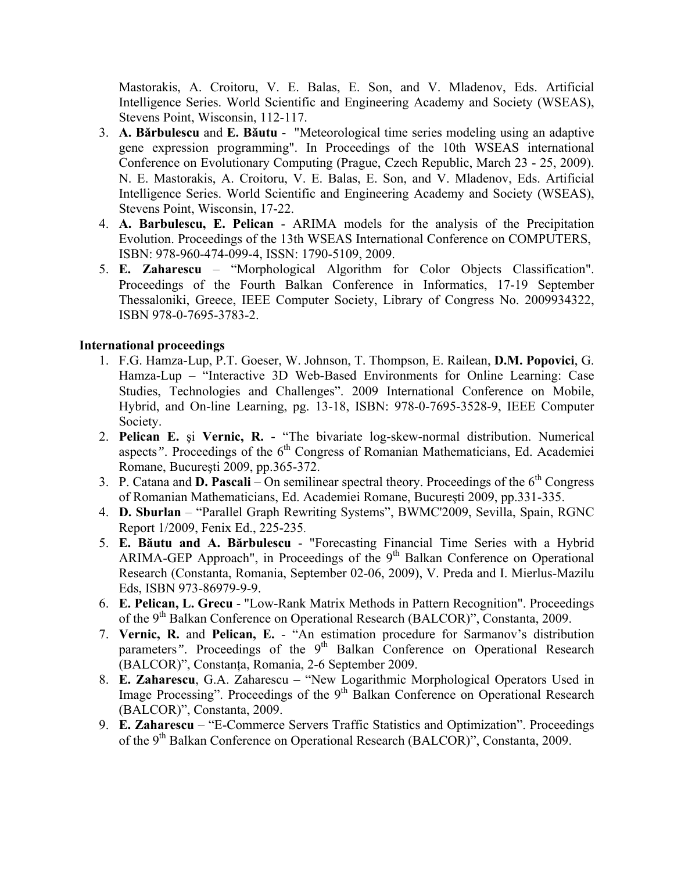Mastorakis, A. Croitoru, V. E. Balas, E. Son, and V. Mladenov, Eds. Artificial Intelligence Series. World Scientific and Engineering Academy and Society (WSEAS), Stevens Point, Wisconsin, 112-117.

- 3. **A. Bărbulescu** and **E. Băutu** "Meteorological time series modeling using an adaptive gene expression programming". In Proceedings of the 10th WSEAS international Conference on Evolutionary Computing (Prague, Czech Republic, March 23 - 25, 2009). N. E. Mastorakis, A. Croitoru, V. E. Balas, E. Son, and V. Mladenov, Eds. Artificial Intelligence Series. World Scientific and Engineering Academy and Society (WSEAS), Stevens Point, Wisconsin, 17-22.
- 4. **A. Barbulescu, E. Pelican** ARIMA models for the analysis of the Precipitation Evolution. Proceedings of the 13th WSEAS International Conference on COMPUTERS, ISBN: 978-960-474-099-4, ISSN: 1790-5109, 2009.
- 5. **E. Zaharescu** "Morphological Algorithm for Color Objects Classification". Proceedings of the Fourth Balkan Conference in Informatics, 17-19 September Thessaloniki, Greece, IEEE Computer Society, Library of Congress No. 2009934322, ISBN 978-0-7695-3783-2.

#### **International proceedings**

- 1. F.G. Hamza-Lup, P.T. Goeser, W. Johnson, T. Thompson, E. Railean, **D.M. Popovici**, G. Hamza-Lup – "Interactive 3D Web-Based Environments for Online Learning: Case Studies, Technologies and Challenges". 2009 International Conference on Mobile, Hybrid, and On-line Learning, pg. 13-18, ISBN: 978-0-7695-3528-9, IEEE Computer Society.
- 2. **Pelican E.** şi **Vernic, R.** *-* "The bivariate log-skew-normal distribution. Numerical aspects". Proceedings of the 6<sup>th</sup> Congress of Romanian Mathematicians, Ed. Academiei Romane, Bucureşti 2009, pp.365-372.
- 3. P. Catana and **D. Pascali** On semilinear spectral theory. Proceedings of the 6<sup>th</sup> Congress of Romanian Mathematicians, Ed. Academiei Romane, Bucureşti 2009, pp.331-335.
- 4. **D. Sburlan** "Parallel Graph Rewriting Systems", BWMC'2009, Sevilla, Spain, RGNC Report 1/2009, Fenix Ed., 225-235.
- 5. **E. Băutu and A. Bărbulescu** "Forecasting Financial Time Series with a Hybrid ARIMA-GEP Approach", in Proceedings of the 9<sup>th</sup> Balkan Conference on Operational Research (Constanta, Romania, September 02-06, 2009), V. Preda and I. Mierlus-Mazilu Eds, ISBN 973-86979-9-9.
- 6. **E. Pelican, L. Grecu** "Low-Rank Matrix Methods in Pattern Recognition". Proceedings of the 9th Balkan Conference on Operational Research (BALCOR)", Constanta, 2009.
- 7. **Vernic, R.** and **Pelican, E.** "An estimation procedure for Sarmanov's distribution parameters". Proceedings of the 9<sup>th</sup> Balkan Conference on Operational Research (BALCOR)", Constanţa, Romania, 2-6 September 2009.
- 8. **E. Zaharescu**, G.A. Zaharescu "New Logarithmic Morphological Operators Used in Image Processing". Proceedings of the 9<sup>th</sup> Balkan Conference on Operational Research (BALCOR)", Constanta, 2009.
- 9. **E. Zaharescu** "E-Commerce Servers Traffic Statistics and Optimization". Proceedings of the 9<sup>th</sup> Balkan Conference on Operational Research (BALCOR)", Constanta, 2009.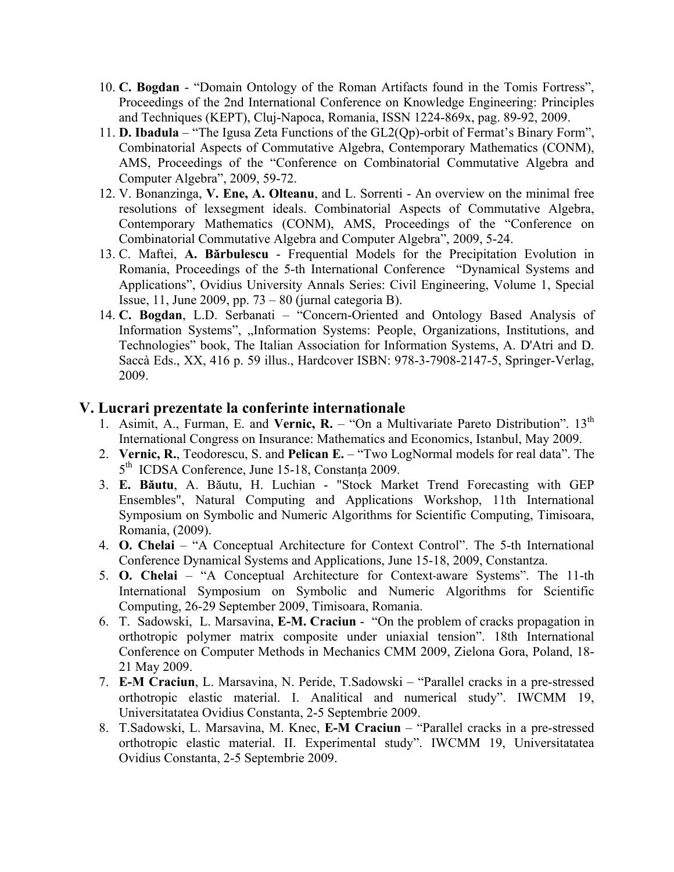- 10. **C. Bogdan** "Domain Ontology of the Roman Artifacts found in the Tomis Fortress", Proceedings of the 2nd International Conference on Knowledge Engineering: Principles and Techniques (KEPT), Cluj-Napoca, Romania, ISSN 1224-869x, pag. 89-92, 2009.
- 11. **D. Ibadula** "The Igusa Zeta Functions of the GL2(Qp)-orbit of Fermat's Binary Form", Combinatorial Aspects of Commutative Algebra, Contemporary Mathematics (CONM), AMS, Proceedings of the "Conference on Combinatorial Commutative Algebra and Computer Algebra", 2009, 59-72.
- 12. V. Bonanzinga, **V. Ene, A. Olteanu**, and L. Sorrenti An overview on the minimal free resolutions of lexsegment ideals. Combinatorial Aspects of Commutative Algebra, Contemporary Mathematics (CONM), AMS, Proceedings of the "Conference on Combinatorial Commutative Algebra and Computer Algebra", 2009, 5-24.
- 13. C. Maftei, **A. Bărbulescu** Frequential Models for the Precipitation Evolution in Romania, Proceedings of the 5-th International Conference "Dynamical Systems and Applications", Ovidius University Annals Series: Civil Engineering, Volume 1, Special Issue, 11, June 2009, pp.  $73 - 80$  (jurnal categoria B).
- 14. **C. Bogdan**, L.D. Serbanati "Concern-Oriented and Ontology Based Analysis of Information Systems", "Information Systems: People, Organizations, Institutions, and Technologies" book, The Italian Association for Information Systems, A. D'Atri and D. Saccà Eds., XX, 416 p. 59 illus., Hardcover ISBN: 978-3-7908-2147-5, Springer-Verlag, 2009.

## **V. Lucrari prezentate la conferinte internationale**

- 1. Asimit, A., Furman, E. and Vernic, R. "On a Multivariate Pareto Distribution". 13<sup>th</sup> International Congress on Insurance: Mathematics and Economics, Istanbul, May 2009.
- 2. **Vernic, R.**, Teodorescu, S. and **Pelican E.** "Two LogNormal models for real data". The 5<sup>th</sup> ICDSA Conference, June 15-18, Constanta 2009.
- 3. **E. Băutu**, A. Băutu, H. Luchian "Stock Market Trend Forecasting with GEP Ensembles", Natural Computing and Applications Workshop, 11th International Symposium on Symbolic and Numeric Algorithms for Scientific Computing, Timisoara, Romania, (2009).
- 4. **O. Chelai** "A Conceptual Architecture for Context Control". The 5-th International Conference Dynamical Systems and Applications, June 15-18, 2009, Constantza.
- 5. **O. Chelai** "A Conceptual Architecture for Context-aware Systems". The 11-th International Symposium on Symbolic and Numeric Algorithms for Scientific Computing, 26-29 September 2009, Timisoara, Romania.
- 6. T. Sadowski, L. Marsavina, **E-M. Craciun** "On the problem of cracks propagation in orthotropic polymer matrix composite under uniaxial tension". 18th International Conference on Computer Methods in Mechanics CMM 2009, Zielona Gora, Poland, 18- 21 May 2009.
- 7. **E-M Craciun**, L. Marsavina, N. Peride, T.Sadowski "Parallel cracks in a pre-stressed orthotropic elastic material. I. Analitical and numerical study". IWCMM 19, Universitatatea Ovidius Constanta, 2-5 Septembrie 2009.
- 8. T.Sadowski, L. Marsavina, M. Knec, **E-M Craciun** "Parallel cracks in a pre-stressed orthotropic elastic material. II. Experimental study". IWCMM 19, Universitatatea Ovidius Constanta, 2-5 Septembrie 2009.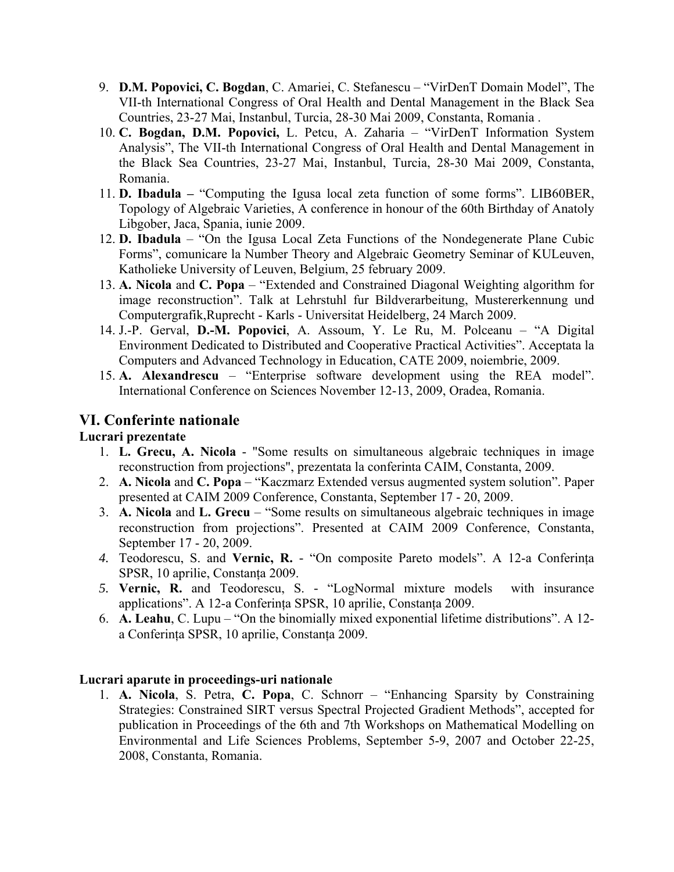- 9. **D.M. Popovici, C. Bogdan**, C. Amariei, C. Stefanescu "VirDenT Domain Model", The VII-th International Congress of Oral Health and Dental Management in the Black Sea Countries, 23-27 Mai, Instanbul, Turcia, 28-30 Mai 2009, Constanta, Romania .
- 10. **C. Bogdan, D.M. Popovici,** L. Petcu, A. Zaharia "VirDenT Information System Analysis", The VII-th International Congress of Oral Health and Dental Management in the Black Sea Countries, 23-27 Mai, Instanbul, Turcia, 28-30 Mai 2009, Constanta, Romania.
- 11. **D. Ibadula –** "Computing the Igusa local zeta function of some forms". LIB60BER, Topology of Algebraic Varieties, A conference in honour of the 60th Birthday of Anatoly Libgober, Jaca, Spania, iunie 2009.
- 12. **D. Ibadula** "On the Igusa Local Zeta Functions of the Nondegenerate Plane Cubic Forms", comunicare la Number Theory and Algebraic Geometry Seminar of KULeuven, Katholieke University of Leuven, Belgium, 25 february 2009.
- 13. **A. Nicola** and **C. Popa** "Extended and Constrained Diagonal Weighting algorithm for image reconstruction". Talk at Lehrstuhl fur Bildverarbeitung, Mustererkennung und Computergrafik,Ruprecht - Karls - Universitat Heidelberg, 24 March 2009.
- 14. J.-P. Gerval, **D.-M. Popovici**, A. Assoum, Y. Le Ru, M. Polceanu "A Digital Environment Dedicated to Distributed and Cooperative Practical Activities". Acceptata la Computers and Advanced Technology in Education, CATE 2009, noiembrie, 2009.
- 15. **A. Alexandrescu** "Enterprise software development using the REA model". International Conference on Sciences November 12-13, 2009, Oradea, Romania.

## **VI. Conferinte nationale**

## **Lucrari prezentate**

- 1. **L. Grecu, A. Nicola** "Some results on simultaneous algebraic techniques in image reconstruction from projections", prezentata la conferinta CAIM, Constanta, 2009.
- 2. **A. Nicola** and **C. Popa** "Kaczmarz Extended versus augmented system solution". Paper presented at CAIM 2009 Conference, Constanta, September 17 - 20, 2009.
- 3. **A. Nicola** and **L. Grecu** "Some results on simultaneous algebraic techniques in image reconstruction from projections". Presented at CAIM 2009 Conference, Constanta, September 17 - 20, 2009.
- *4.* Teodorescu, S. and **Vernic, R.** *-* "On composite Pareto models". A 12-a Conferinţa SPSR, 10 aprilie, Constanţa 2009.
- *5.* **Vernic, R.** and Teodorescu, S. *-* "LogNormal mixture models with insurance applications". A 12-a Conferinţa SPSR, 10 aprilie, Constanţa 2009.
- 6. **A. Leahu**, C. Lupu "On the binomially mixed exponential lifetime distributions". A 12 a Conferinţa SPSR, 10 aprilie, Constanţa 2009.

## **Lucrari aparute in proceedings-uri nationale**

1. **A. Nicola**, S. Petra, **C. Popa**, C. Schnorr – "Enhancing Sparsity by Constraining Strategies: Constrained SIRT versus Spectral Projected Gradient Methods", accepted for publication in Proceedings of the 6th and 7th Workshops on Mathematical Modelling on Environmental and Life Sciences Problems, September 5-9, 2007 and October 22-25, 2008, Constanta, Romania.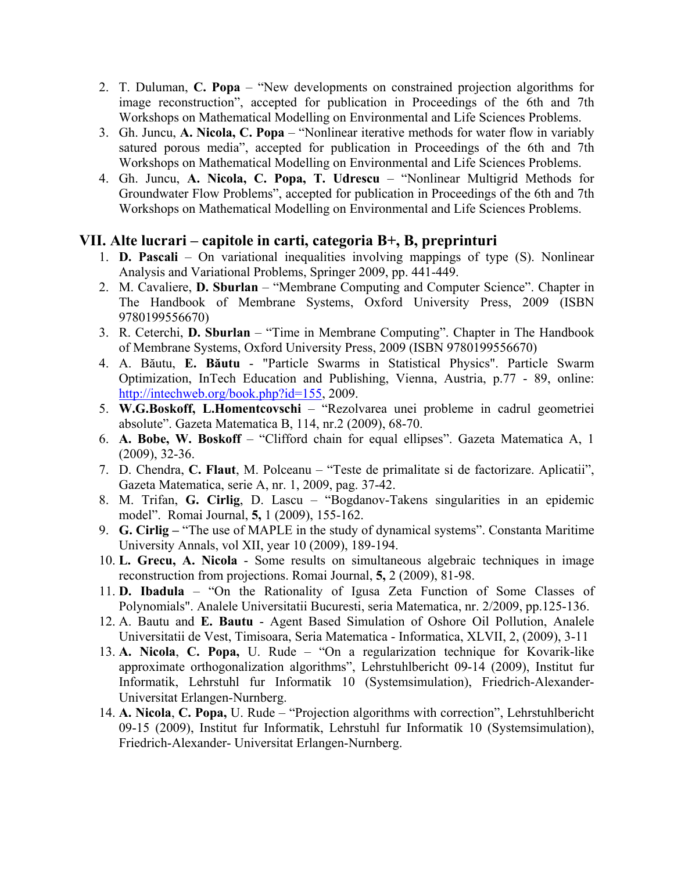- 2. T. Duluman, **C. Popa** "New developments on constrained projection algorithms for image reconstruction", accepted for publication in Proceedings of the 6th and 7th Workshops on Mathematical Modelling on Environmental and Life Sciences Problems.
- 3. Gh. Juncu, **A. Nicola, C. Popa** "Nonlinear iterative methods for water flow in variably satured porous media", accepted for publication in Proceedings of the 6th and 7th Workshops on Mathematical Modelling on Environmental and Life Sciences Problems.
- 4. Gh. Juncu, **A. Nicola, C. Popa, T. Udrescu** "Nonlinear Multigrid Methods for Groundwater Flow Problems", accepted for publication in Proceedings of the 6th and 7th Workshops on Mathematical Modelling on Environmental and Life Sciences Problems.

## **VII. Alte lucrari – capitole in carti, categoria B+, B, preprinturi**

- 1. **D. Pascali** On variational inequalities involving mappings of type (S). Nonlinear Analysis and Variational Problems, Springer 2009, pp. 441-449.
- 2. M. Cavaliere, **D. Sburlan** "Membrane Computing and Computer Science". Chapter in The Handbook of Membrane Systems, Oxford University Press, 2009 (ISBN 9780199556670)
- 3. R. Ceterchi, **D. Sburlan** "Time in Membrane Computing". Chapter in The Handbook of Membrane Systems, Oxford University Press, 2009 (ISBN 9780199556670)
- 4. A. Băutu, **E. Băutu** "Particle Swarms in Statistical Physics". Particle Swarm Optimization, InTech Education and Publishing, Vienna, Austria, p.77 - 89, online: [http://intechweb.org/book.php?id=155,](http://intechweb.org/book.php?id=155) 2009.
- 5. **W.G.Boskoff, L.Homentcovschi**  "Rezolvarea unei probleme in cadrul geometriei absolute". Gazeta Matematica B, 114, nr.2 (2009), 68-70.
- 6. **A. Bobe, W. Boskoff** "Clifford chain for equal ellipses". Gazeta Matematica A, 1 (2009), 32-36.
- 7. D. Chendra, **C. Flaut**, M. Polceanu "Teste de primalitate si de factorizare. Aplicatii", Gazeta Matematica, serie A, nr. 1, 2009, pag. 37-42.
- 8. M. Trifan, **G. Cirlig**, D. Lascu "Bogdanov-Takens singularities in an epidemic model". Romai Journal, **5,** 1 (2009), 155-162.
- 9. **G. Cirlig –** "The use of MAPLE in the study of dynamical systems". Constanta Maritime University Annals, vol XII, year 10 (2009), 189-194.
- 10. **L. Grecu, A. Nicola** Some results on simultaneous algebraic techniques in image reconstruction from projections. Romai Journal, **5,** 2 (2009), 81-98.
- 11. **D. Ibadula** "On the Rationality of Igusa Zeta Function of Some Classes of Polynomials". Analele Universitatii Bucuresti, seria Matematica, nr. 2/2009, pp.125-136.
- 12. A. Bautu and **E. Bautu** Agent Based Simulation of Oshore Oil Pollution, Analele Universitatii de Vest, Timisoara, Seria Matematica - Informatica, XLVII, 2, (2009), 3-11
- 13. **A. Nicola**, **C. Popa,** U. Rude "On a regularization technique for Kovarik-like approximate orthogonalization algorithms", Lehrstuhlbericht 09-14 (2009), Institut fur Informatik, Lehrstuhl fur Informatik 10 (Systemsimulation), Friedrich-Alexander-Universitat Erlangen-Nurnberg.
- 14. **A. Nicola**, **C. Popa,** U. Rude "Projection algorithms with correction", Lehrstuhlbericht 09-15 (2009), Institut fur Informatik, Lehrstuhl fur Informatik 10 (Systemsimulation), Friedrich-Alexander- Universitat Erlangen-Nurnberg.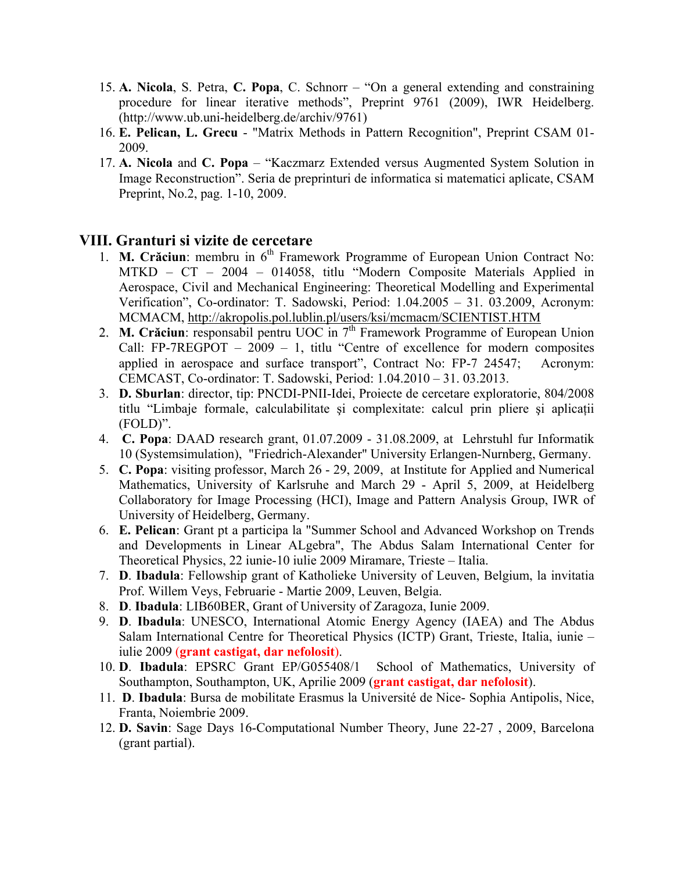- 15. **A. Nicola**, S. Petra, **C. Popa**, C. Schnorr "On a general extending and constraining procedure for linear iterative methods", Preprint 9761 (2009), IWR Heidelberg. (http://www.ub.uni-heidelberg.de/archiv/9761)
- 16. **E. Pelican, L. Grecu** "Matrix Methods in Pattern Recognition", Preprint CSAM 01- 2009.
- 17. **A. Nicola** and **C. Popa** "Kaczmarz Extended versus Augmented System Solution in Image Reconstruction". Seria de preprinturi de informatica si matematici aplicate, CSAM Preprint, No.2, pag. 1-10, 2009.

#### **VIII. Granturi si vizite de cercetare**

- 1. **M. Crăciun**: membru in 6<sup>th</sup> Framework Programme of European Union Contract No: MTKD – CT – 2004 – 014058, titlu "Modern Composite Materials Applied in Aerospace, Civil and Mechanical Engineering: Theoretical Modelling and Experimental Verification", Co-ordinator: T. Sadowski, Period: 1.04.2005 – 31. 03.2009, Acronym: MCMACM, <http://akropolis.pol.lublin.pl/users/ksi/mcmacm/SCIENTIST.HTM>
- 2. **M. Crăciun**: responsabil pentru UOC in 7<sup>th</sup> Framework Programme of European Union Call: FP-7REGPOT – 2009 – 1, titlu "Centre of excellence for modern composites applied in aerospace and surface transport", Contract No: FP-7 24547; Acronym: CEMCAST, Co-ordinator: T. Sadowski, Period: 1.04.2010 – 31. 03.2013.
- 3. **D. Sburlan**: director, tip: PNCDI-PNII-Idei, Proiecte de cercetare exploratorie, 804/2008 titlu "Limbaje formale, calculabilitate și complexitate: calcul prin pliere și aplicații (FOLD)".
- 4. **C. Popa**: DAAD research grant, 01.07.2009 31.08.2009, at Lehrstuhl fur Informatik 10 (Systemsimulation), "Friedrich-Alexander" University Erlangen-Nurnberg, Germany.
- 5. **C. Popa**: visiting professor, March 26 29, 2009, at Institute for Applied and Numerical Mathematics, University of Karlsruhe and March 29 - April 5, 2009, at Heidelberg Collaboratory for Image Processing (HCI), Image and Pattern Analysis Group, IWR of University of Heidelberg, Germany.
- 6. **E. Pelican**: Grant pt a participa la "Summer School and Advanced Workshop on Trends and Developments in Linear ALgebra", The Abdus Salam International Center for Theoretical Physics, 22 iunie-10 iulie 2009 Miramare, Trieste – Italia.
- 7. **D**. **Ibadula**: Fellowship grant of Katholieke University of Leuven, Belgium, la invitatia Prof. Willem Veys, Februarie - Martie 2009, Leuven, Belgia.
- 8. **D**. **Ibadula**: LIB60BER, Grant of University of Zaragoza, Iunie 2009.
- 9. **D**. **Ibadula**: UNESCO, International Atomic Energy Agency (IAEA) and The Abdus Salam International Centre for Theoretical Physics (ICTP) Grant, Trieste, Italia, iunie – iulie 2009 (**grant castigat, dar nefolosit**).
- 10. **D**. **Ibadula**: EPSRC Grant EP/G055408/1 School of Mathematics, University of Southampton, Southampton, UK, Aprilie 2009 (**grant castigat, dar nefolosit**).
- 11. **D**. **Ibadula**: Bursa de mobilitate Erasmus la Université de Nice- Sophia Antipolis, Nice, Franta, Noiembrie 2009.
- 12. **D. Savin**: Sage Days 16-Computational Number Theory, June 22-27 , 2009, Barcelona (grant partial).